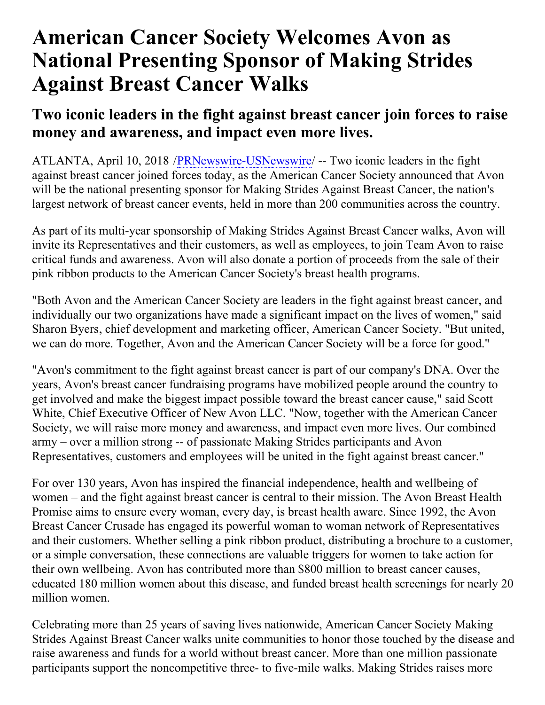## **American Cancer Society Welcomes Avon as National Presenting Sponsor of Making Strides Against Breast Cancer Walks**

## **Two iconic leaders in the fight against breast cancer join forces to raise money and awareness, and impact even more lives.**

ATLANTA, April 10, 2018 [/PRNewswire-USNewswire](http://www.prnewswire.com/)/ -- Two iconic leaders in the fight against breast cancer joined forces today, as the American Cancer Society announced that Avon will be the national presenting sponsor for Making Strides Against Breast Cancer, the nation's largest network of breast cancer events, held in more than 200 communities across the country.

As part of its multi-year sponsorship of Making Strides Against Breast Cancer walks, Avon will invite its Representatives and their customers, as well as employees, to join Team Avon to raise critical funds and awareness. Avon will also donate a portion of proceeds from the sale of their pink ribbon products to the American Cancer Society's breast health programs.

"Both Avon and the American Cancer Society are leaders in the fight against breast cancer, and individually our two organizations have made a significant impact on the lives of women," said Sharon Byers, chief development and marketing officer, American Cancer Society. "But united, we can do more. Together, Avon and the American Cancer Society will be a force for good."

"Avon's commitment to the fight against breast cancer is part of our company's DNA. Over the years, Avon's breast cancer fundraising programs have mobilized people around the country to get involved and make the biggest impact possible toward the breast cancer cause," said Scott White, Chief Executive Officer of New Avon LLC. "Now, together with the American Cancer Society, we will raise more money and awareness, and impact even more lives. Our combined army – over a million strong -- of passionate Making Strides participants and Avon Representatives, customers and employees will be united in the fight against breast cancer."

For over 130 years, Avon has inspired the financial independence, health and wellbeing of women – and the fight against breast cancer is central to their mission. The Avon Breast Health Promise aims to ensure every woman, every day, is breast health aware. Since 1992, the Avon Breast Cancer Crusade has engaged its powerful woman to woman network of Representatives and their customers. Whether selling a pink ribbon product, distributing a brochure to a customer, or a simple conversation, these connections are valuable triggers for women to take action for their own wellbeing. Avon has contributed more than \$800 million to breast cancer causes, educated 180 million women about this disease, and funded breast health screenings for nearly 20 million women.

Celebrating more than 25 years of saving lives nationwide, American Cancer Society Making Strides Against Breast Cancer walks unite communities to honor those touched by the disease and raise awareness and funds for a world without breast cancer. More than one million passionate participants support the noncompetitive three- to five-mile walks. Making Strides raises more